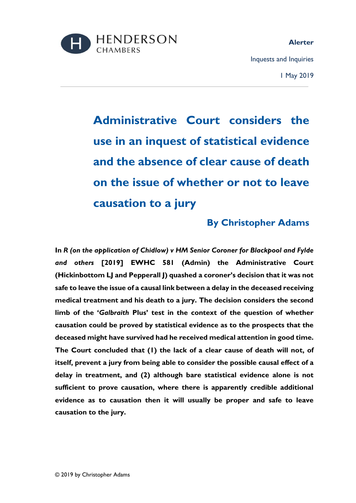

# **By Christopher Adams**

**In** *R (on the application of Chidlow) v HM Senior Coroner for Blackpool and Fylde and others* **[2019] EWHC 581 (Admin) the Administrative Court (Hickinbottom LJ and Pepperall J) quashed a coroner's decision that it was not safe to leave the issue of a causal link between a delay in the deceased receiving medical treatment and his death to a jury. The decision considers the second limb of the '***Galbraith* **Plus' test in the context of the question of whether causation could be proved by statistical evidence as to the prospects that the deceased might have survived had he received medical attention in good time. The Court concluded that (1) the lack of a clear cause of death will not, of itself, prevent a jury from being able to consider the possible causal effect of a delay in treatment, and (2) although bare statistical evidence alone is not sufficient to prove causation, where there is apparently credible additional evidence as to causation then it will usually be proper and safe to leave causation to the jury.**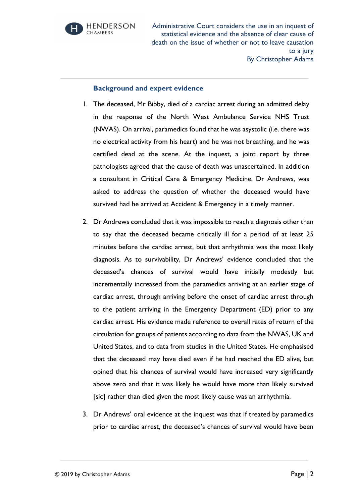

#### **Background and expert evidence**

- 1. The deceased, Mr Bibby, died of a cardiac arrest during an admitted delay in the response of the North West Ambulance Service NHS Trust (NWAS). On arrival, paramedics found that he was asystolic (i.e. there was no electrical activity from his heart) and he was not breathing, and he was certified dead at the scene. At the inquest, a joint report by three pathologists agreed that the cause of death was unascertained. In addition a consultant in Critical Care & Emergency Medicine, Dr Andrews, was asked to address the question of whether the deceased would have survived had he arrived at Accident & Emergency in a timely manner.
- 2. Dr Andrews concluded that it was impossible to reach a diagnosis other than to say that the deceased became critically ill for a period of at least 25 minutes before the cardiac arrest, but that arrhythmia was the most likely diagnosis. As to survivability, Dr Andrews' evidence concluded that the deceased's chances of survival would have initially modestly but incrementally increased from the paramedics arriving at an earlier stage of cardiac arrest, through arriving before the onset of cardiac arrest through to the patient arriving in the Emergency Department (ED) prior to any cardiac arrest. His evidence made reference to overall rates of return of the circulation for groups of patients according to data from the NWAS, UK and United States, and to data from studies in the United States. He emphasised that the deceased may have died even if he had reached the ED alive, but opined that his chances of survival would have increased very significantly above zero and that it was likely he would have more than likely survived [sic] rather than died given the most likely cause was an arrhythmia.
- 3. Dr Andrews' oral evidence at the inquest was that if treated by paramedics prior to cardiac arrest, the deceased's chances of survival would have been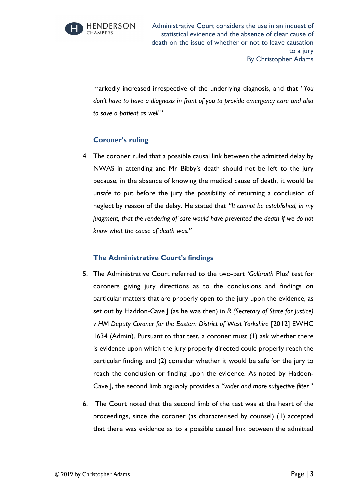

markedly increased irrespective of the underlying diagnosis, and that *"You don't have to have a diagnosis in front of you to provide emergency care and also to save a patient as well."*

## **Coroner's ruling**

4. The coroner ruled that a possible causal link between the admitted delay by NWAS in attending and Mr Bibby's death should not be left to the jury because, in the absence of knowing the medical cause of death, it would be unsafe to put before the jury the possibility of returning a conclusion of neglect by reason of the delay. He stated that *"It cannot be established, in my judgment, that the rendering of care would have prevented the death if we do not know what the cause of death was."*

### **The Administrative Court's findings**

- 5. The Administrative Court referred to the two-part '*Galbraith* Plus' test for coroners giving jury directions as to the conclusions and findings on particular matters that are properly open to the jury upon the evidence, as set out by Haddon-Cave J (as he was then) in *R (Secretary of State for Justice) v HM Deputy Coroner for the Eastern District of West Yorkshire* [2012] EWHC 1634 (Admin). Pursuant to that test, a coroner must (1) ask whether there is evidence upon which the jury properly directed could properly reach the particular finding, and (2) consider whether it would be safe for the jury to reach the conclusion or finding upon the evidence. As noted by Haddon-Cave J, the second limb arguably provides a *"wider and more subjective filter."*
- 6. The Court noted that the second limb of the test was at the heart of the proceedings, since the coroner (as characterised by counsel) (1) accepted that there was evidence as to a possible causal link between the admitted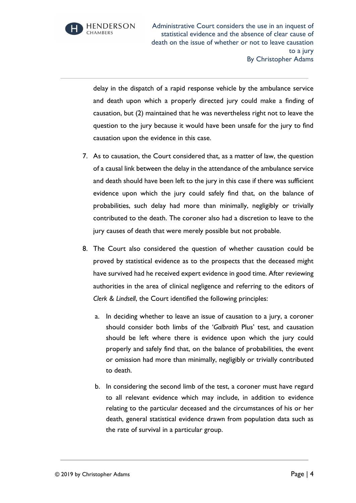**HENDERSON CHAMBERS** 

Administrative Court considers the use in an inquest of statistical evidence and the absence of clear cause of death on the issue of whether or not to leave causation to a jury By Christopher Adams

delay in the dispatch of a rapid response vehicle by the ambulance service and death upon which a properly directed jury could make a finding of causation, but (2) maintained that he was nevertheless right not to leave the question to the jury because it would have been unsafe for the jury to find causation upon the evidence in this case.

- 7. As to causation, the Court considered that, as a matter of law, the question of a causal link between the delay in the attendance of the ambulance service and death should have been left to the jury in this case if there was sufficient evidence upon which the jury could safely find that, on the balance of probabilities, such delay had more than minimally, negligibly or trivially contributed to the death. The coroner also had a discretion to leave to the jury causes of death that were merely possible but not probable.
- 8. The Court also considered the question of whether causation could be proved by statistical evidence as to the prospects that the deceased might have survived had he received expert evidence in good time. After reviewing authorities in the area of clinical negligence and referring to the editors of *Clerk & Lindsell*, the Court identified the following principles:
	- a. In deciding whether to leave an issue of causation to a jury, a coroner should consider both limbs of the '*Galbraith* Plus' test, and causation should be left where there is evidence upon which the jury could properly and safely find that, on the balance of probabilities, the event or omission had more than minimally, negligibly or trivially contributed to death.
	- b. In considering the second limb of the test, a coroner must have regard to all relevant evidence which may include, in addition to evidence relating to the particular deceased and the circumstances of his or her death, general statistical evidence drawn from population data such as the rate of survival in a particular group.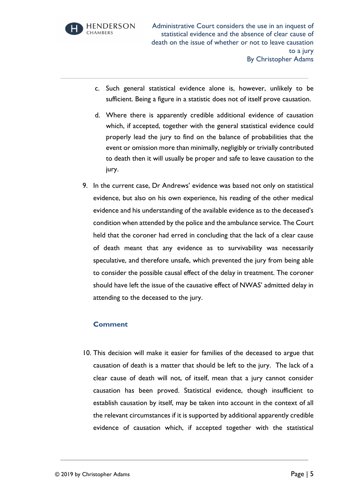

- c. Such general statistical evidence alone is, however, unlikely to be sufficient. Being a figure in a statistic does not of itself prove causation.
- d. Where there is apparently credible additional evidence of causation which, if accepted, together with the general statistical evidence could properly lead the jury to find on the balance of probabilities that the event or omission more than minimally, negligibly or trivially contributed to death then it will usually be proper and safe to leave causation to the jury.
- 9. In the current case, Dr Andrews' evidence was based not only on statistical evidence, but also on his own experience, his reading of the other medical evidence and his understanding of the available evidence as to the deceased's condition when attended by the police and the ambulance service. The Court held that the coroner had erred in concluding that the lack of a clear cause of death meant that any evidence as to survivability was necessarily speculative, and therefore unsafe, which prevented the jury from being able to consider the possible causal effect of the delay in treatment. The coroner should have left the issue of the causative effect of NWAS' admitted delay in attending to the deceased to the jury.

### **Comment**

10. This decision will make it easier for families of the deceased to argue that causation of death is a matter that should be left to the jury. The lack of a clear cause of death will not, of itself, mean that a jury cannot consider causation has been proved. Statistical evidence, though insufficient to establish causation by itself, may be taken into account in the context of all the relevant circumstances if it is supported by additional apparently credible evidence of causation which, if accepted together with the statistical